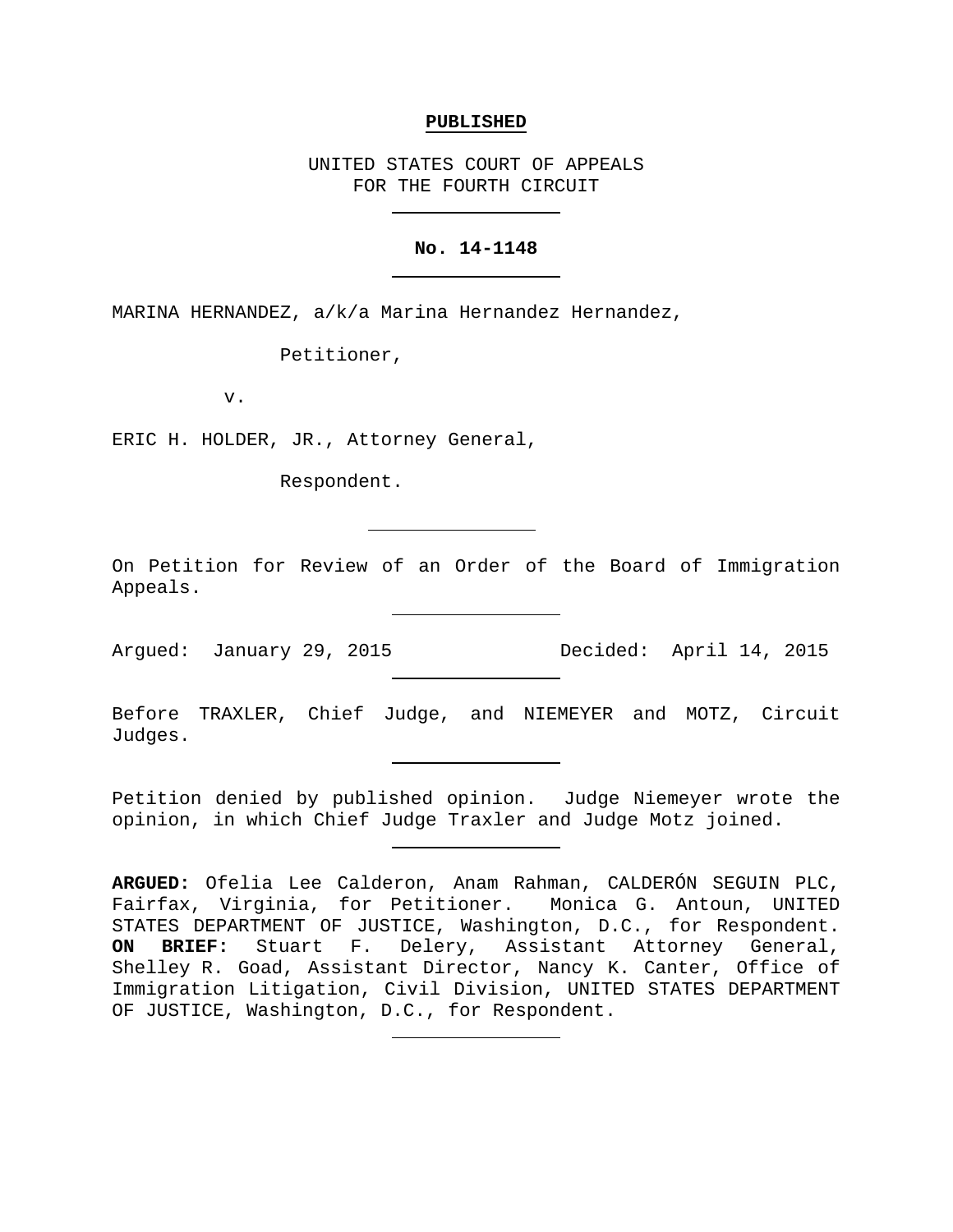### **PUBLISHED**

UNITED STATES COURT OF APPEALS FOR THE FOURTH CIRCUIT

## **No. 14-1148**

MARINA HERNANDEZ, a/k/a Marina Hernandez Hernandez,

Petitioner,

v.

ERIC H. HOLDER, JR., Attorney General,

Respondent.

On Petition for Review of an Order of the Board of Immigration Appeals.

Argued: January 29, 2015 Decided: April 14, 2015

Before TRAXLER, Chief Judge, and NIEMEYER and MOTZ, Circuit Judges.

Petition denied by published opinion. Judge Niemeyer wrote the opinion, in which Chief Judge Traxler and Judge Motz joined.

**ARGUED:** Ofelia Lee Calderon, Anam Rahman, CALDERÓN SEGUIN PLC, Fairfax, Virginia, for Petitioner. Monica G. Antoun, UNITED STATES DEPARTMENT OF JUSTICE, Washington, D.C., for Respondent. **ON BRIEF:** Stuart F. Delery, Assistant Attorney General, Shelley R. Goad, Assistant Director, Nancy K. Canter, Office of Immigration Litigation, Civil Division, UNITED STATES DEPARTMENT OF JUSTICE, Washington, D.C., for Respondent.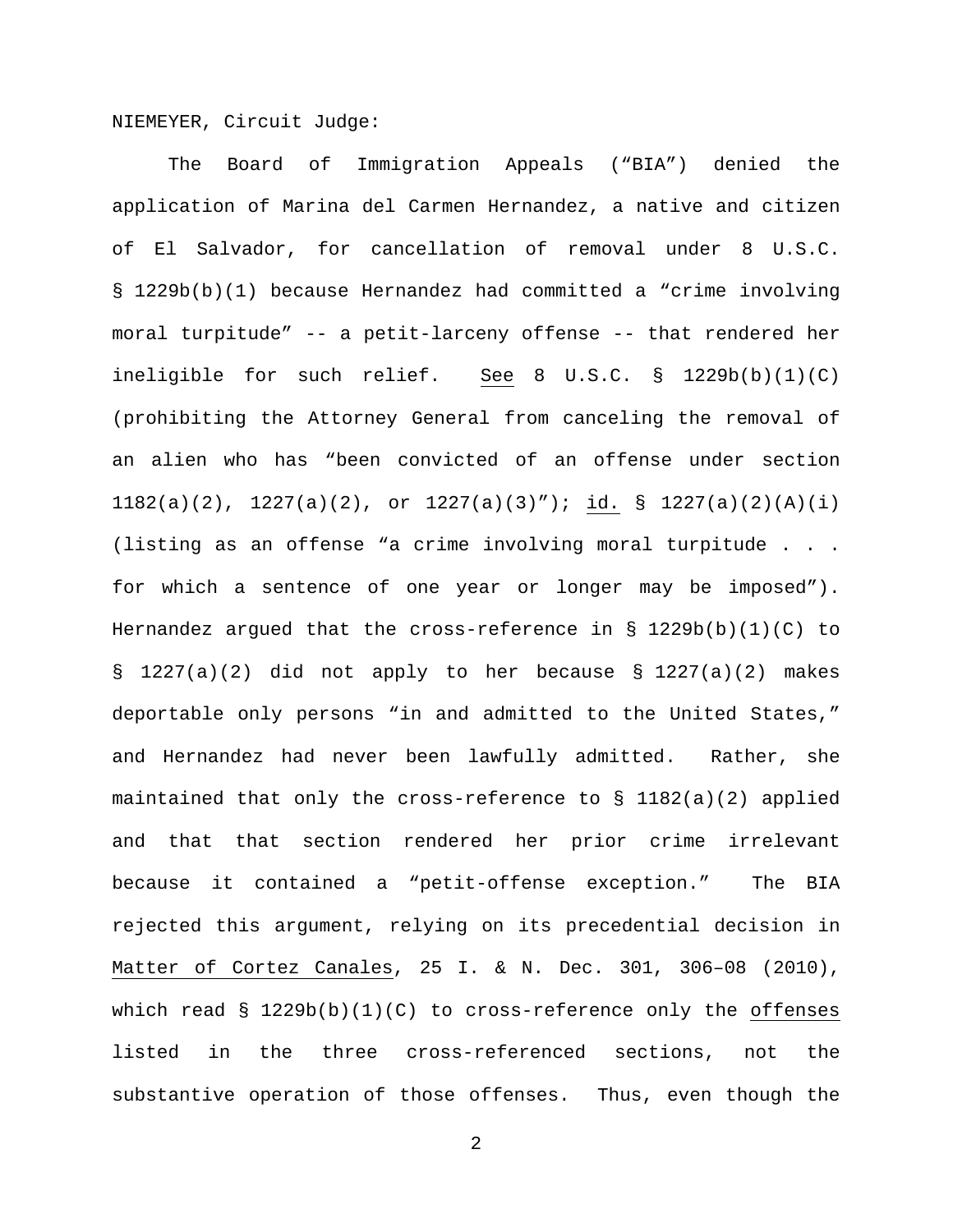NIEMEYER, Circuit Judge:

The Board of Immigration Appeals ("BIA") denied the application of Marina del Carmen Hernandez, a native and citizen of El Salvador, for cancellation of removal under 8 U.S.C. § 1229b(b)(1) because Hernandez had committed a "crime involving moral turpitude" -- a petit-larceny offense -- that rendered her ineligible for such relief. See 8 U.S.C.  $\S$  1229b(b)(1)(C) (prohibiting the Attorney General from canceling the removal of an alien who has "been convicted of an offense under section 1182(a)(2), 1227(a)(2), or  $1227(a)(3)$ "); id. § 1227(a)(2)(A)(i) (listing as an offense "a crime involving moral turpitude . . . for which a sentence of one year or longer may be imposed"). Hernandez argued that the cross-reference in  $\S$  1229b(b)(1)(C) to § 1227(a)(2) did not apply to her because § 1227(a)(2) makes deportable only persons "in and admitted to the United States," and Hernandez had never been lawfully admitted. Rather, she maintained that only the cross-reference to  $\S$  1182(a)(2) applied and that that section rendered her prior crime irrelevant because it contained a "petit-offense exception." The BIA rejected this argument, relying on its precedential decision in Matter of Cortez Canales, 25 I. & N. Dec. 301, 306–08 (2010), which read  $\S$  1229b(b)(1)(C) to cross-reference only the offenses listed in the three cross-referenced sections, not the substantive operation of those offenses. Thus, even though the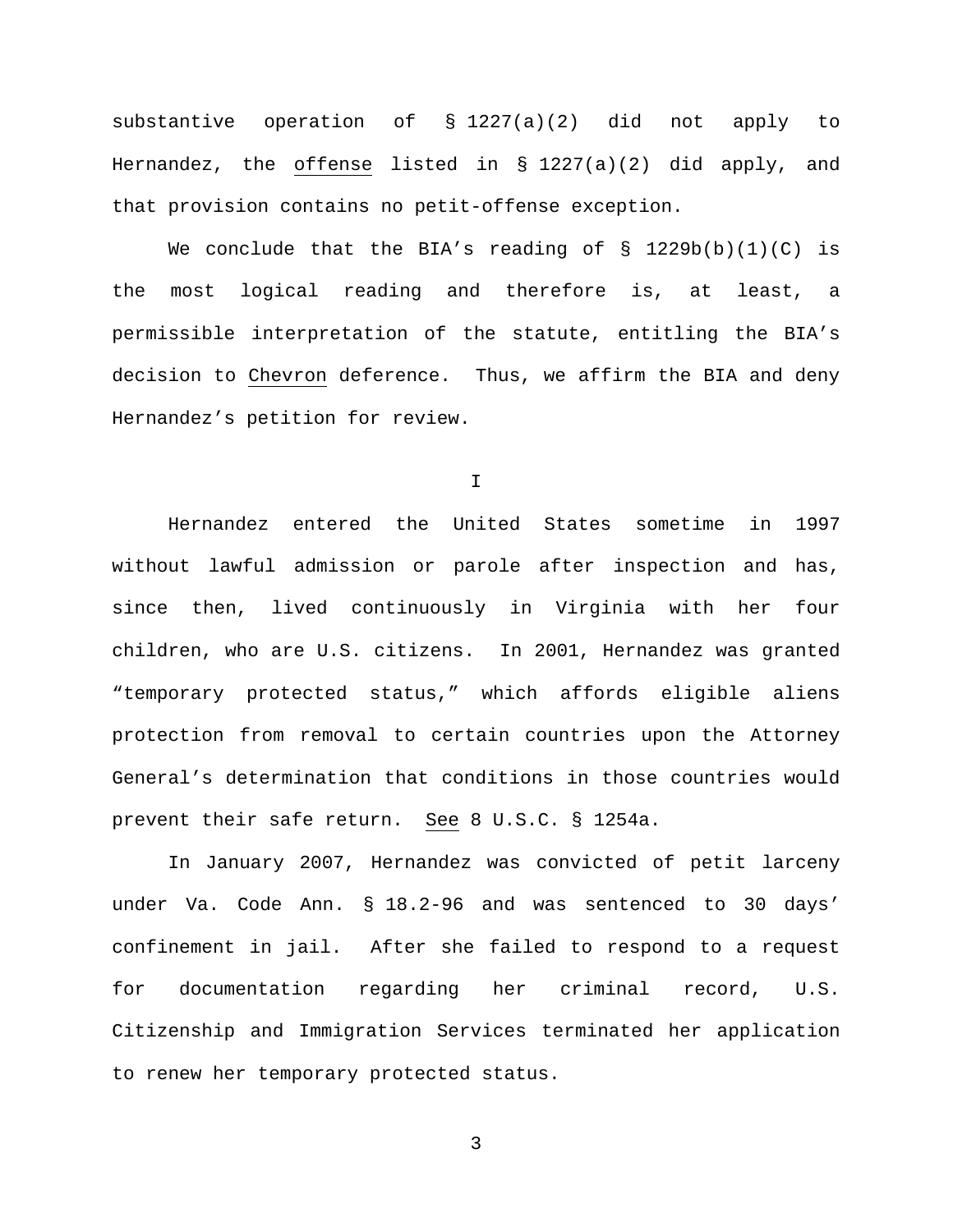substantive operation of § 1227(a)(2) did not apply to Hernandez, the offense listed in  $\S$  1227(a)(2) did apply, and that provision contains no petit-offense exception.

We conclude that the BIA's reading of  $\S$  1229b(b)(1)(C) is the most logical reading and therefore is, at least, a permissible interpretation of the statute, entitling the BIA's decision to Chevron deference. Thus, we affirm the BIA and deny Hernandez's petition for review.

I

Hernandez entered the United States sometime in 1997 without lawful admission or parole after inspection and has, since then, lived continuously in Virginia with her four children, who are U.S. citizens. In 2001, Hernandez was granted "temporary protected status," which affords eligible aliens protection from removal to certain countries upon the Attorney General's determination that conditions in those countries would prevent their safe return. See 8 U.S.C. § 1254a.

In January 2007, Hernandez was convicted of petit larceny under Va. Code Ann. § 18.2-96 and was sentenced to 30 days' confinement in jail. After she failed to respond to a request for documentation regarding her criminal record, U.S. Citizenship and Immigration Services terminated her application to renew her temporary protected status.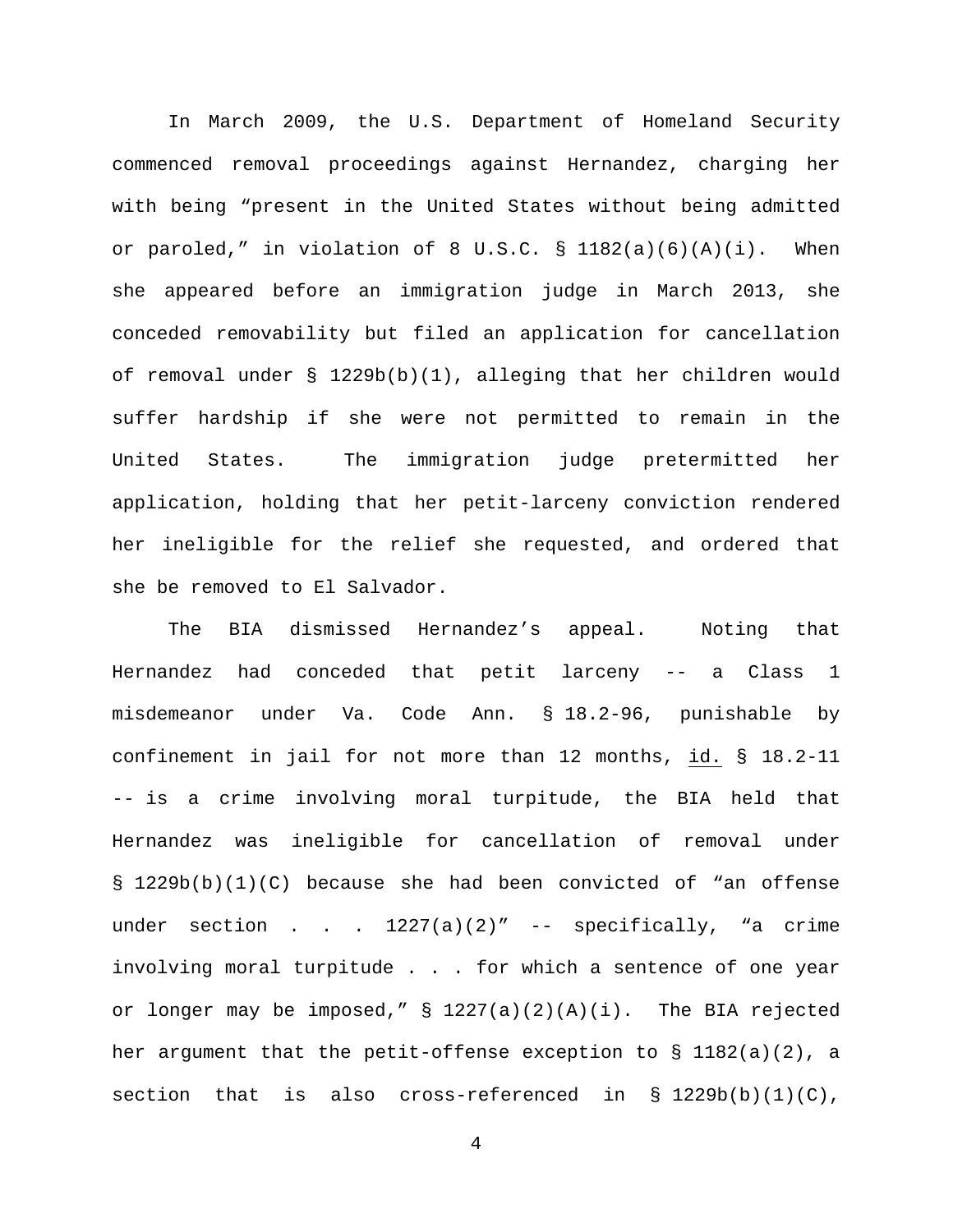In March 2009, the U.S. Department of Homeland Security commenced removal proceedings against Hernandez, charging her with being "present in the United States without being admitted or paroled," in violation of 8 U.S.C.  $\S$  1182(a)(6)(A)(i). When she appeared before an immigration judge in March 2013, she conceded removability but filed an application for cancellation of removal under § 1229b(b)(1), alleging that her children would suffer hardship if she were not permitted to remain in the United States. The immigration judge pretermitted her application, holding that her petit-larceny conviction rendered her ineligible for the relief she requested, and ordered that she be removed to El Salvador.

The BIA dismissed Hernandez's appeal. Noting that Hernandez had conceded that petit larceny -- a Class 1 misdemeanor under Va. Code Ann. § 18.2-96, punishable by confinement in jail for not more than 12 months, id. § 18.2-11 -- is a crime involving moral turpitude, the BIA held that Hernandez was ineligible for cancellation of removal under § 1229b(b)(1)(C) because she had been convicted of "an offense under section . . .  $1227(a)(2)''$  -- specifically, "a crime involving moral turpitude . . . for which a sentence of one year or longer may be imposed," § 1227(a)(2)(A)(i). The BIA rejected her argument that the petit-offense exception to  $\S$  1182(a)(2), a section that is also cross-referenced in § 1229b(b)(1)(C),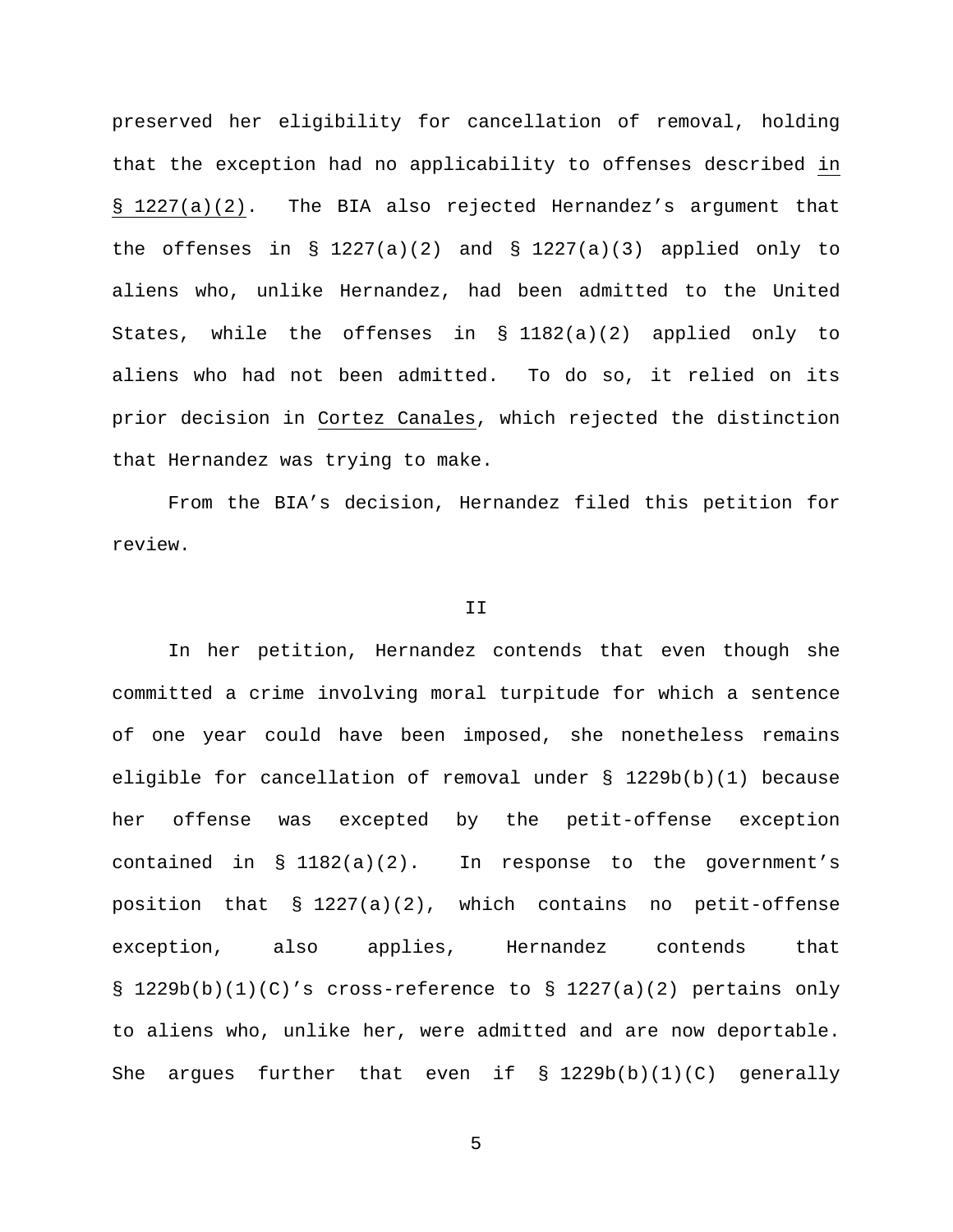preserved her eligibility for cancellation of removal, holding that the exception had no applicability to offenses described in § 1227(a)(2). The BIA also rejected Hernandez's argument that the offenses in § 1227(a)(2) and § 1227(a)(3) applied only to aliens who, unlike Hernandez, had been admitted to the United States, while the offenses in § 1182(a)(2) applied only to aliens who had not been admitted. To do so, it relied on its prior decision in Cortez Canales, which rejected the distinction that Hernandez was trying to make.

From the BIA's decision, Hernandez filed this petition for review.

### II

In her petition, Hernandez contends that even though she committed a crime involving moral turpitude for which a sentence of one year could have been imposed, she nonetheless remains eligible for cancellation of removal under § 1229b(b)(1) because her offense was excepted by the petit-offense exception contained in § 1182(a)(2). In response to the government's position that  $\S 1227(a)(2)$ , which contains no petit-offense exception, also applies, Hernandez contends that § 1229b(b)(1)(C)'s cross-reference to § 1227(a)(2) pertains only to aliens who, unlike her, were admitted and are now deportable. She argues further that even if  $\S$  1229b(b)(1)(C) generally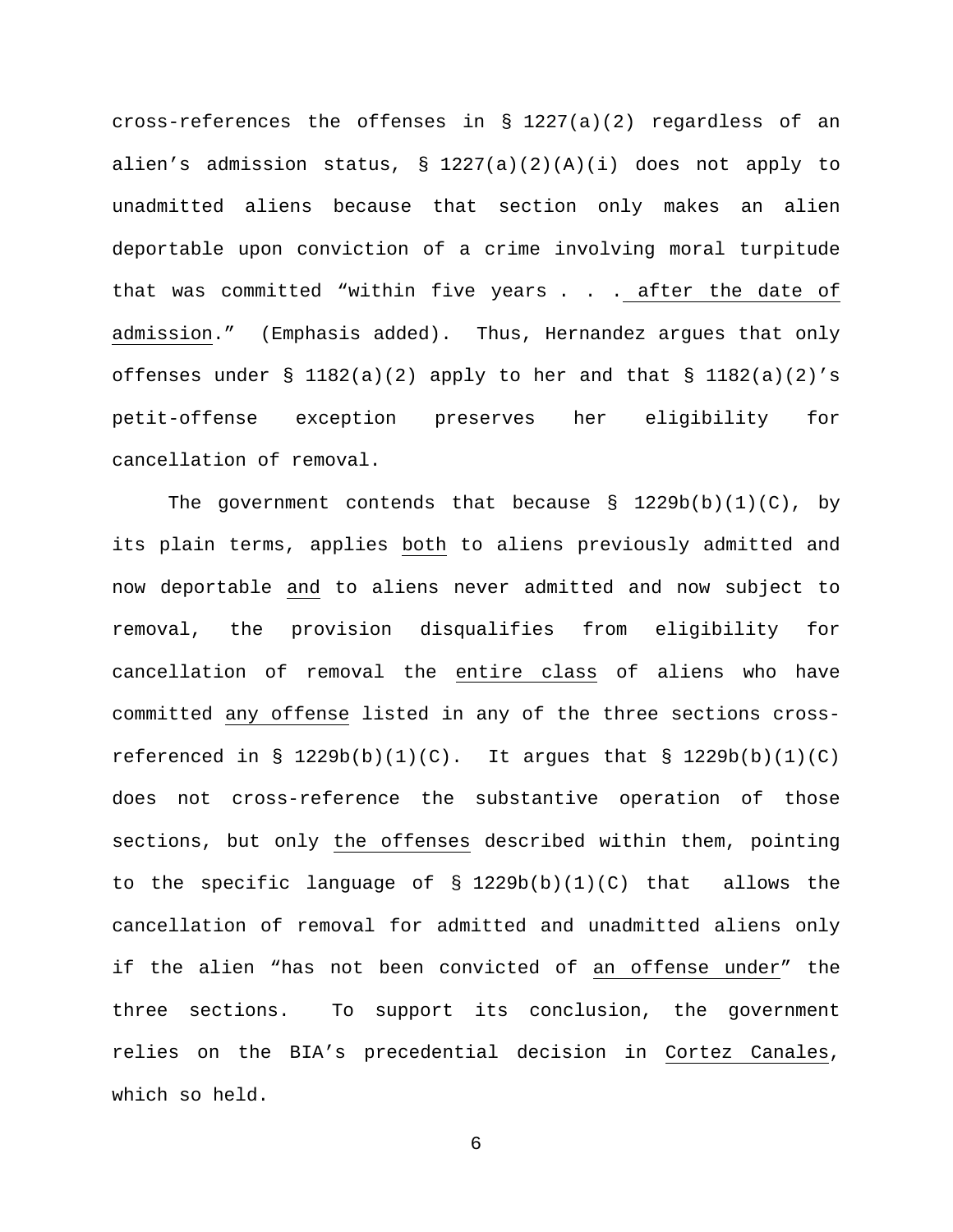cross-references the offenses in § 1227(a)(2) regardless of an alien's admission status,  $\S 1227(a)(2)(A)(i)$  does not apply to unadmitted aliens because that section only makes an alien deportable upon conviction of a crime involving moral turpitude that was committed "within five years . . . after the date of admission." (Emphasis added). Thus, Hernandez argues that only offenses under § 1182(a)(2) apply to her and that § 1182(a)(2)'s petit-offense exception preserves her eligibility for cancellation of removal.

The government contends that because  $\S$  1229b(b)(1)(C), by its plain terms, applies both to aliens previously admitted and now deportable and to aliens never admitted and now subject to removal, the provision disqualifies from eligibility for cancellation of removal the entire class of aliens who have committed any offense listed in any of the three sections crossreferenced in §  $1229b(b)(1)(C)$ . It argues that §  $1229b(b)(1)(C)$ does not cross-reference the substantive operation of those sections, but only the offenses described within them, pointing to the specific language of  $\S$  1229b(b)(1)(C) that allows the cancellation of removal for admitted and unadmitted aliens only if the alien "has not been convicted of an offense under" the three sections. To support its conclusion, the government relies on the BIA's precedential decision in Cortez Canales, which so held.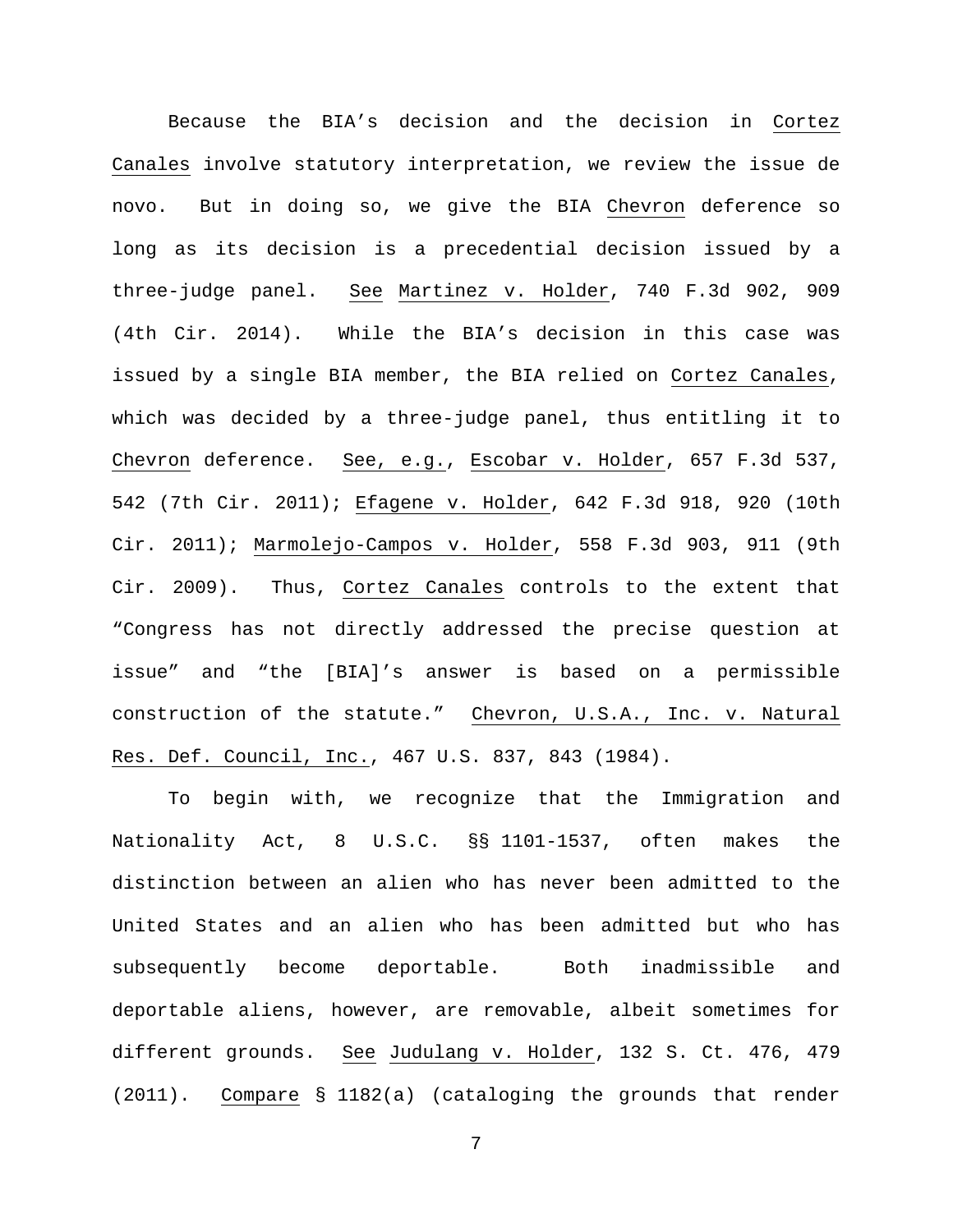Because the BIA's decision and the decision in Cortez Canales involve statutory interpretation, we review the issue de novo. But in doing so, we give the BIA Chevron deference so long as its decision is a precedential decision issued by a three-judge panel. See Martinez v. Holder, 740 F.3d 902, 909 (4th Cir. 2014). While the BIA's decision in this case was issued by a single BIA member, the BIA relied on Cortez Canales, which was decided by a three-judge panel, thus entitling it to Chevron deference. See, e.g., Escobar v. Holder, 657 F.3d 537, 542 (7th Cir. 2011); Efagene v. Holder, 642 F.3d 918, 920 (10th Cir. 2011); Marmolejo-Campos v. Holder, 558 F.3d 903, 911 (9th Cir. 2009). Thus, Cortez Canales controls to the extent that "Congress has not directly addressed the precise question at issue" and "the [BIA]'s answer is based on a permissible construction of the statute." Chevron, U.S.A., Inc. v. Natural Res. Def. Council, Inc., 467 U.S. 837, 843 (1984).

To begin with, we recognize that the Immigration and Nationality Act, 8 U.S.C. §§ 1101-1537, often makes the distinction between an alien who has never been admitted to the United States and an alien who has been admitted but who has subsequently become deportable. Both inadmissible and deportable aliens, however, are removable, albeit sometimes for different grounds. See Judulang v. Holder, 132 S. Ct. 476, 479 (2011). Compare § 1182(a) (cataloging the grounds that render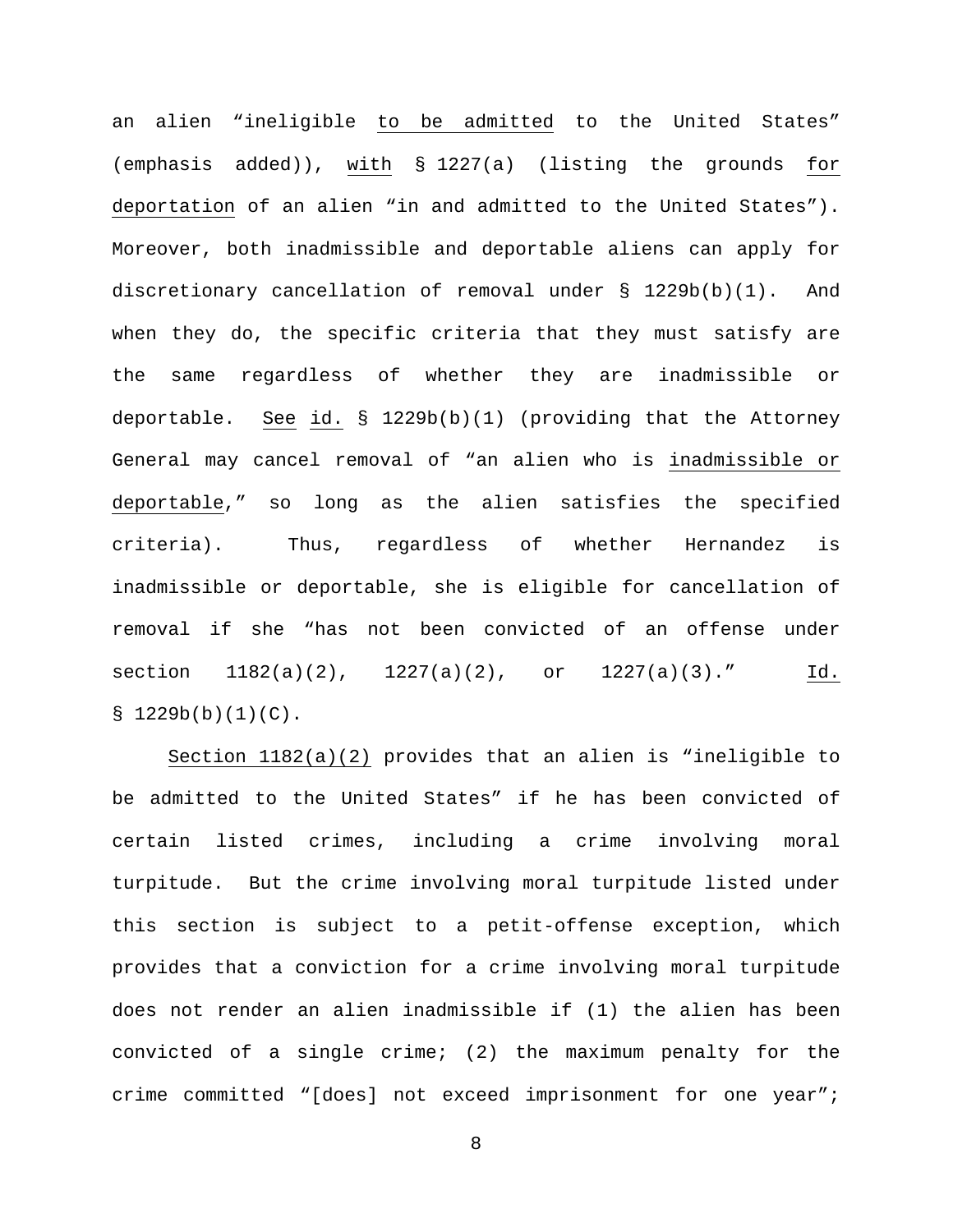an alien "ineligible to be admitted to the United States" (emphasis added)), with § 1227(a) (listing the grounds for deportation of an alien "in and admitted to the United States"). Moreover, both inadmissible and deportable aliens can apply for discretionary cancellation of removal under § 1229b(b)(1). And when they do, the specific criteria that they must satisfy are the same regardless of whether they are inadmissible or deportable. See id. § 1229b(b)(1) (providing that the Attorney General may cancel removal of "an alien who is inadmissible or deportable," so long as the alien satisfies the specified criteria). Thus, regardless of whether Hernandez is inadmissible or deportable, she is eligible for cancellation of removal if she "has not been convicted of an offense under section  $1182(a)(2)$ ,  $1227(a)(2)$ , or  $1227(a)(3)$ ." Id.  $$1229b(b)(1)(C)$ .

Section 1182(a)(2) provides that an alien is "ineligible to be admitted to the United States" if he has been convicted of certain listed crimes, including a crime involving moral turpitude. But the crime involving moral turpitude listed under this section is subject to a petit-offense exception, which provides that a conviction for a crime involving moral turpitude does not render an alien inadmissible if (1) the alien has been convicted of a single crime; (2) the maximum penalty for the crime committed "[does] not exceed imprisonment for one year";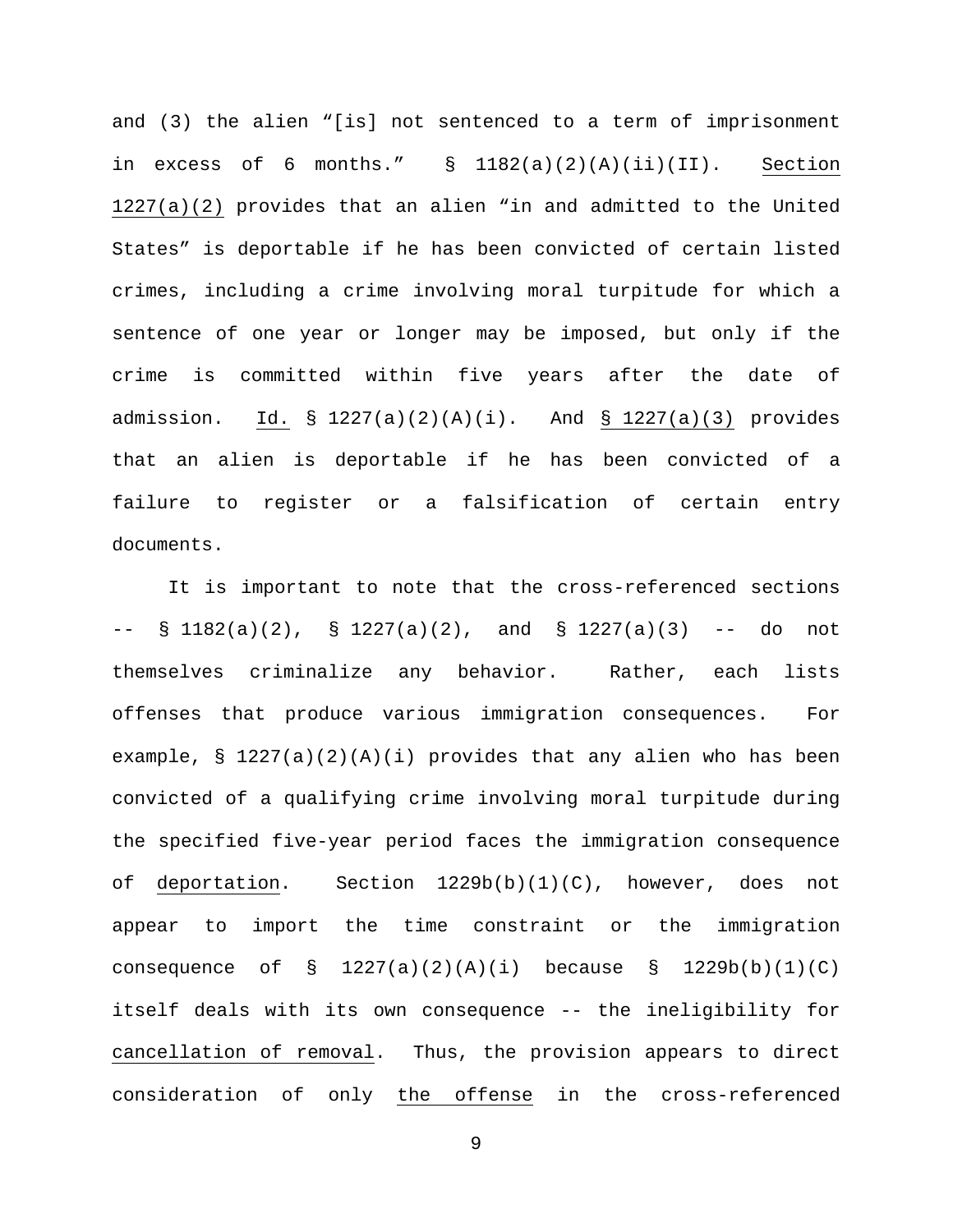and (3) the alien "[is] not sentenced to a term of imprisonment in excess of 6 months."  $\S$  1182(a)(2)(A)(ii)(II). Section 1227(a)(2) provides that an alien "in and admitted to the United States" is deportable if he has been convicted of certain listed crimes, including a crime involving moral turpitude for which a sentence of one year or longer may be imposed, but only if the crime is committed within five years after the date of admission. Id. § 1227(a)(2)(A)(i). And § 1227(a)(3) provides that an alien is deportable if he has been convicted of a failure to register or a falsification of certain entry documents.

It is important to note that the cross-referenced sections  $--$  § 1182(a)(2), § 1227(a)(2), and § 1227(a)(3)  $--$  do not themselves criminalize any behavior. Rather, each lists offenses that produce various immigration consequences. For example, §  $1227(a)(2)(A)(i)$  provides that any alien who has been convicted of a qualifying crime involving moral turpitude during the specified five-year period faces the immigration consequence of deportation. Section  $1229b(b)(1)(C)$ , however, does not appear to import the time constraint or the immigration consequence of  $\S$  1227(a)(2)(A)(i) because  $\S$  1229b(b)(1)(C) itself deals with its own consequence -- the ineligibility for cancellation of removal. Thus, the provision appears to direct consideration of only the offense in the cross-referenced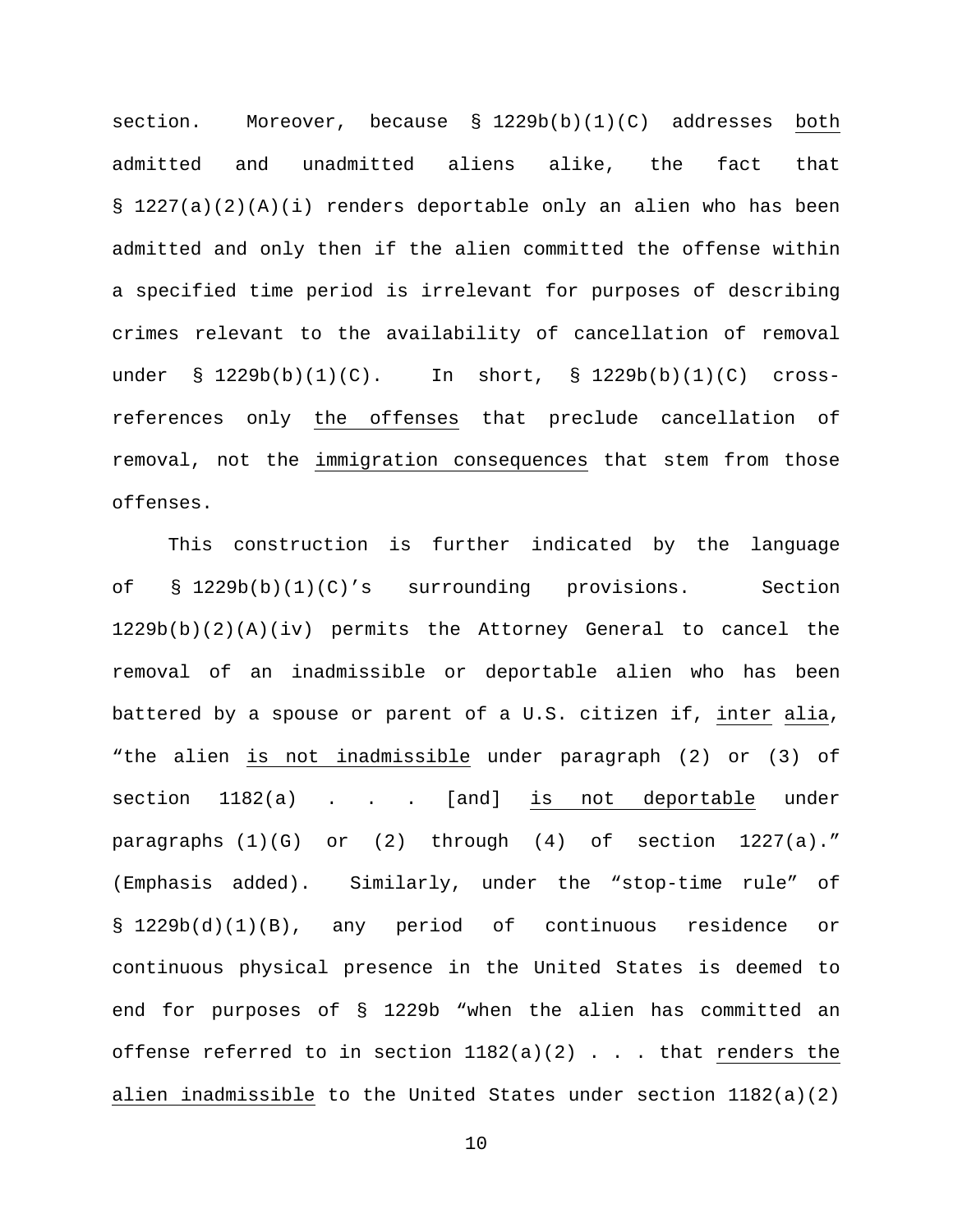section. Moreover, because § 1229b(b)(1)(C) addresses both admitted and unadmitted aliens alike, the fact that § 1227(a)(2)(A)(i) renders deportable only an alien who has been admitted and only then if the alien committed the offense within a specified time period is irrelevant for purposes of describing crimes relevant to the availability of cancellation of removal under § 1229b(b)(1)(C). In short, § 1229b(b)(1)(C) crossreferences only the offenses that preclude cancellation of removal, not the immigration consequences that stem from those offenses.

This construction is further indicated by the language of § 1229b(b)(1)(C)'s surrounding provisions. Section 1229b(b)(2)(A)(iv) permits the Attorney General to cancel the removal of an inadmissible or deportable alien who has been battered by a spouse or parent of a U.S. citizen if, inter alia, "the alien is not inadmissible under paragraph (2) or (3) of section 1182(a) . . . [and] is not deportable under paragraphs (1)(G) or (2) through (4) of section 1227(a)." (Emphasis added). Similarly, under the "stop-time rule" of § 1229b(d)(1)(B), any period of continuous residence or continuous physical presence in the United States is deemed to end for purposes of § 1229b "when the alien has committed an offense referred to in section  $1182(a)(2)$  . . . that renders the alien inadmissible to the United States under section 1182(a)(2)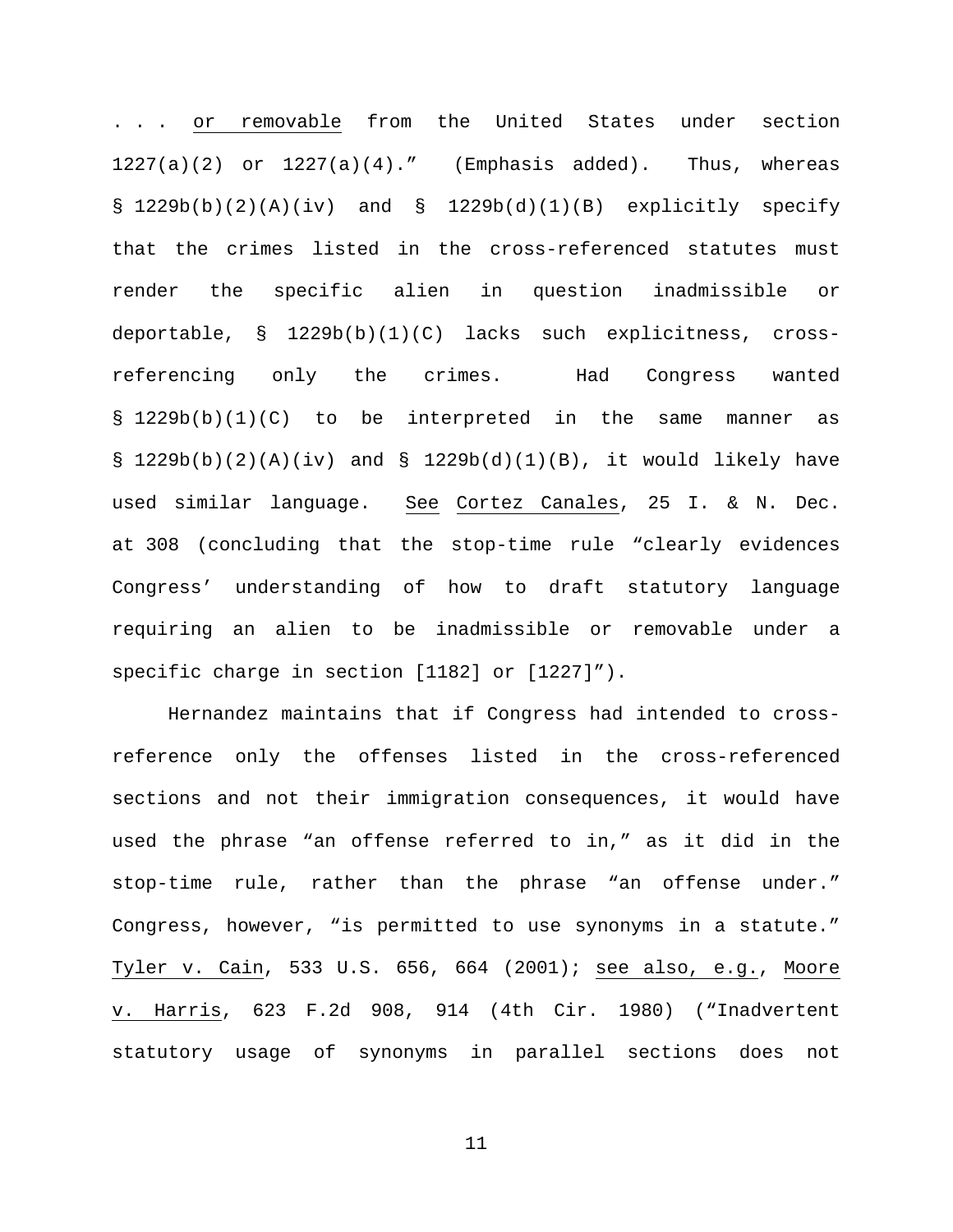. . . or removable from the United States under section  $1227(a)(2)$  or  $1227(a)(4)$ ." (Emphasis added). Thus, whereas  $\S$  1229b(b)(2)(A)(iv) and  $\S$  1229b(d)(1)(B) explicitly specify that the crimes listed in the cross-referenced statutes must render the specific alien in question inadmissible or deportable, § 1229b(b)(1)(C) lacks such explicitness, crossreferencing only the crimes. Had Congress wanted § 1229b(b)(1)(C) to be interpreted in the same manner as § 1229b(b)(2)(A)(iv) and § 1229b(d)(1)(B), it would likely have used similar language. See Cortez Canales, 25 I. & N. Dec. at 308 (concluding that the stop-time rule "clearly evidences Congress' understanding of how to draft statutory language requiring an alien to be inadmissible or removable under a specific charge in section [1182] or [1227]").

Hernandez maintains that if Congress had intended to crossreference only the offenses listed in the cross-referenced sections and not their immigration consequences, it would have used the phrase "an offense referred to in," as it did in the stop-time rule, rather than the phrase "an offense under." Congress, however, "is permitted to use synonyms in a statute." Tyler v. Cain, 533 U.S. 656, 664 (2001); see also, e.g., Moore v. Harris, 623 F.2d 908, 914 (4th Cir. 1980) ("Inadvertent statutory usage of synonyms in parallel sections does not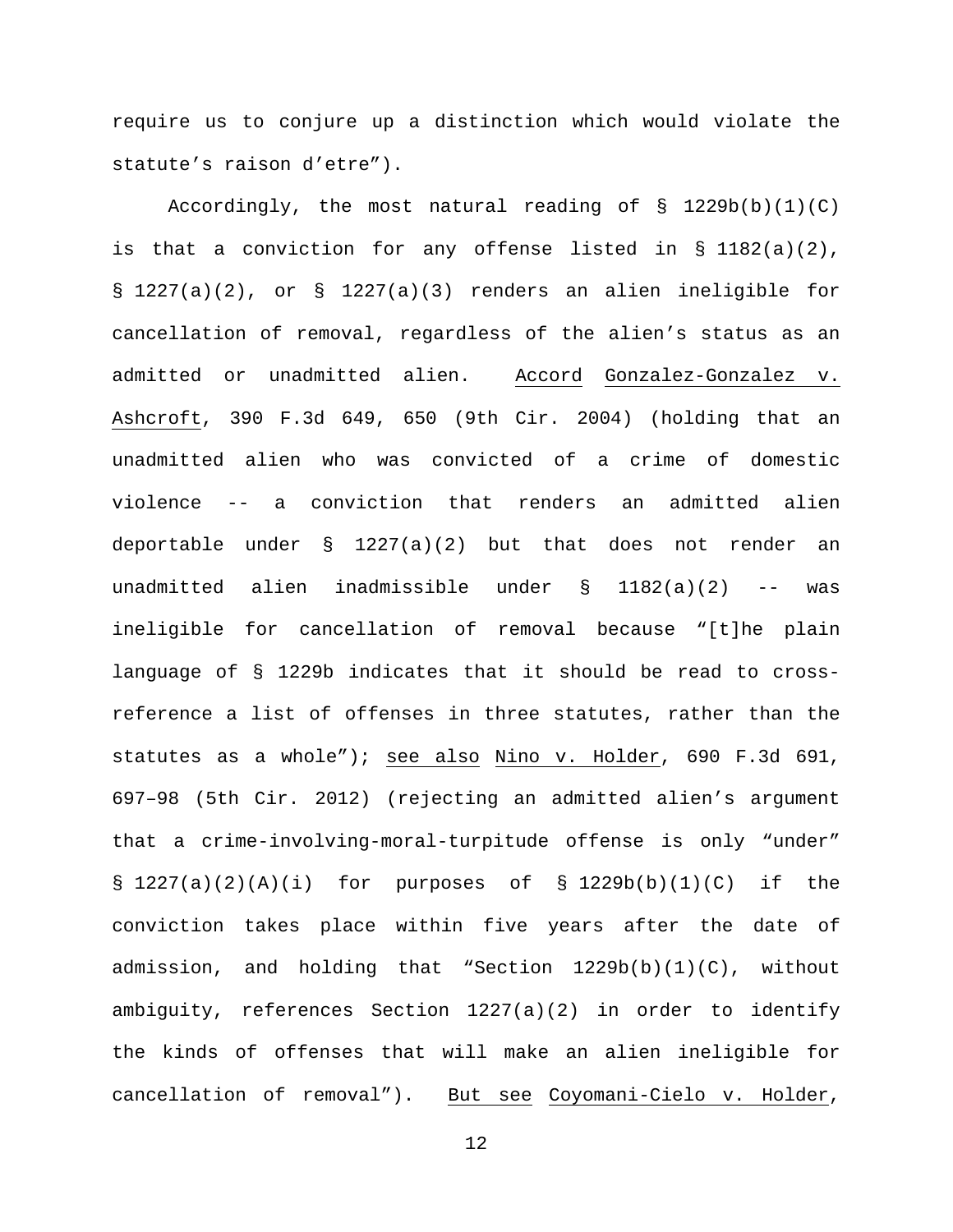require us to conjure up a distinction which would violate the statute's raison d'etre").

Accordingly, the most natural reading of  $\S$  1229b(b)(1)(C) is that a conviction for any offense listed in § 1182(a)(2), § 1227(a)(2), or § 1227(a)(3) renders an alien ineligible for cancellation of removal, regardless of the alien's status as an admitted or unadmitted alien. Accord Gonzalez-Gonzalez v. Ashcroft, 390 F.3d 649, 650 (9th Cir. 2004) (holding that an unadmitted alien who was convicted of a crime of domestic violence -- a conviction that renders an admitted alien deportable under  $\S$  1227(a)(2) but that does not render an unadmitted alien inadmissible under § 1182(a)(2) -- was ineligible for cancellation of removal because "[t]he plain language of § 1229b indicates that it should be read to crossreference a list of offenses in three statutes, rather than the statutes as a whole"); see also Nino v. Holder, 690 F.3d 691, 697–98 (5th Cir. 2012) (rejecting an admitted alien's argument that a crime-involving-moral-turpitude offense is only "under" § 1227(a)(2)(A)(i) for purposes of § 1229b(b)(1)(C) if the conviction takes place within five years after the date of admission, and holding that "Section  $1229b(b)(1)(C)$ , without ambiguity, references Section 1227(a)(2) in order to identify the kinds of offenses that will make an alien ineligible for cancellation of removal"). But see Coyomani-Cielo v. Holder,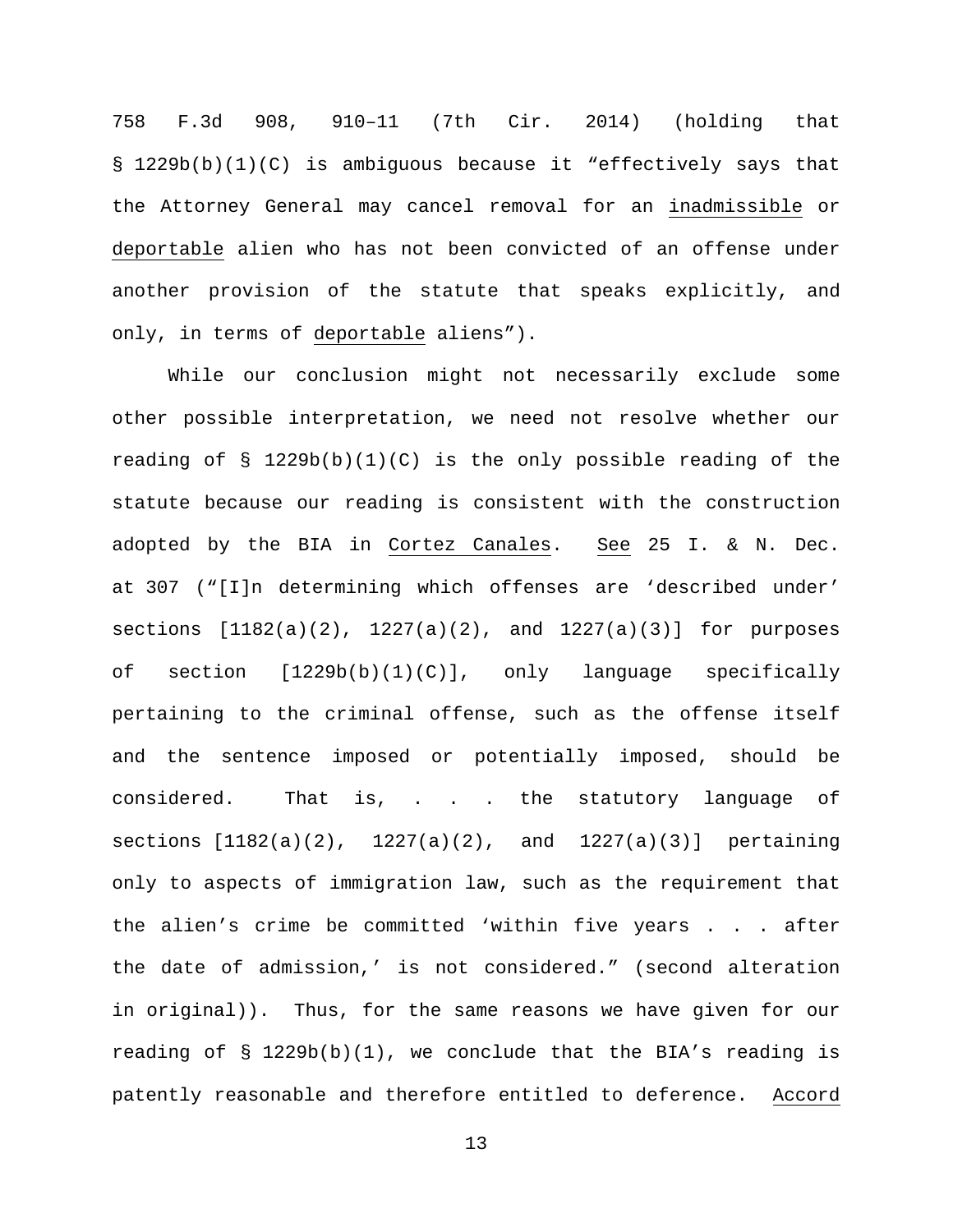758 F.3d 908, 910–11 (7th Cir. 2014) (holding that § 1229b(b)(1)(C) is ambiguous because it "effectively says that the Attorney General may cancel removal for an inadmissible or deportable alien who has not been convicted of an offense under another provision of the statute that speaks explicitly, and only, in terms of deportable aliens").

While our conclusion might not necessarily exclude some other possible interpretation, we need not resolve whether our reading of § 1229b(b)(1)(C) is the only possible reading of the statute because our reading is consistent with the construction adopted by the BIA in Cortez Canales. See 25 I. & N. Dec. at 307 ("[I]n determining which offenses are 'described under' sections  $[1182(a)(2), 1227(a)(2),$  and  $1227(a)(3)]$  for purposes of section [1229b(b)(1)(C)], only language specifically pertaining to the criminal offense, such as the offense itself and the sentence imposed or potentially imposed, should be considered. That is, . . . the statutory language of sections  $[1182(a)(2), 1227(a)(2), and 1227(a)(3)]$  pertaining only to aspects of immigration law, such as the requirement that the alien's crime be committed 'within five years . . . after the date of admission,' is not considered." (second alteration in original)). Thus, for the same reasons we have given for our reading of  $\S$  1229b(b)(1), we conclude that the BIA's reading is patently reasonable and therefore entitled to deference. Accord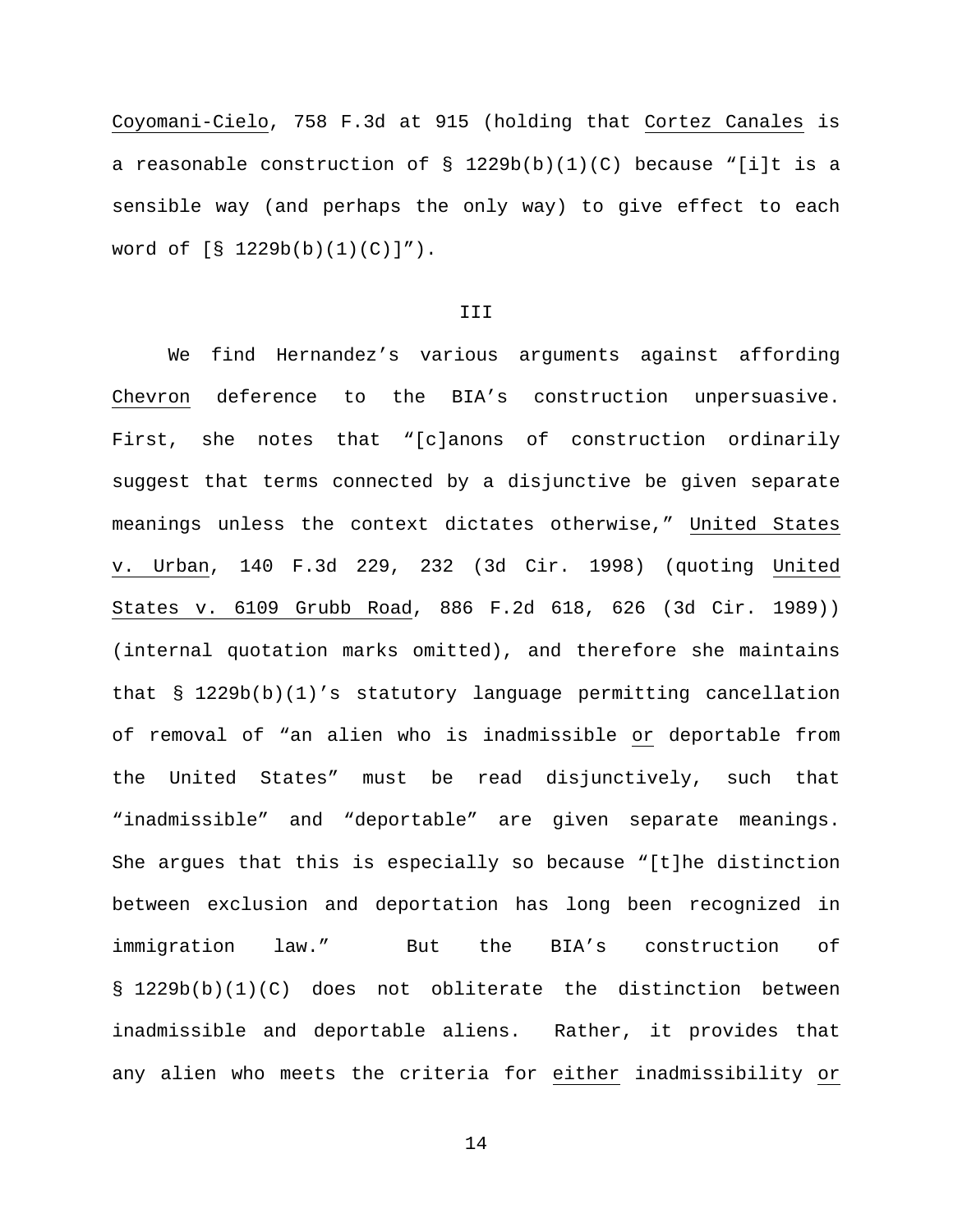Coyomani-Cielo, 758 F.3d at 915 (holding that Cortez Canales is a reasonable construction of  $\S$  1229b(b)(1)(C) because "[i]t is a sensible way (and perhaps the only way) to give effect to each word of [§ 1229b(b)(1)(C)]").

#### III

We find Hernandez's various arguments against affording Chevron deference to the BIA's construction unpersuasive. First, she notes that "[c]anons of construction ordinarily suggest that terms connected by a disjunctive be given separate meanings unless the context dictates otherwise," United States v. Urban, 140 F.3d 229, 232 (3d Cir. 1998) (quoting United States v. 6109 Grubb Road, 886 F.2d 618, 626 (3d Cir. 1989)) (internal quotation marks omitted), and therefore she maintains that § 1229b(b)(1)'s statutory language permitting cancellation of removal of "an alien who is inadmissible or deportable from the United States" must be read disjunctively, such that "inadmissible" and "deportable" are given separate meanings. She argues that this is especially so because "[t]he distinction between exclusion and deportation has long been recognized in immigration law." But the BIA's construction of § 1229b(b)(1)(C) does not obliterate the distinction between inadmissible and deportable aliens. Rather, it provides that any alien who meets the criteria for either inadmissibility or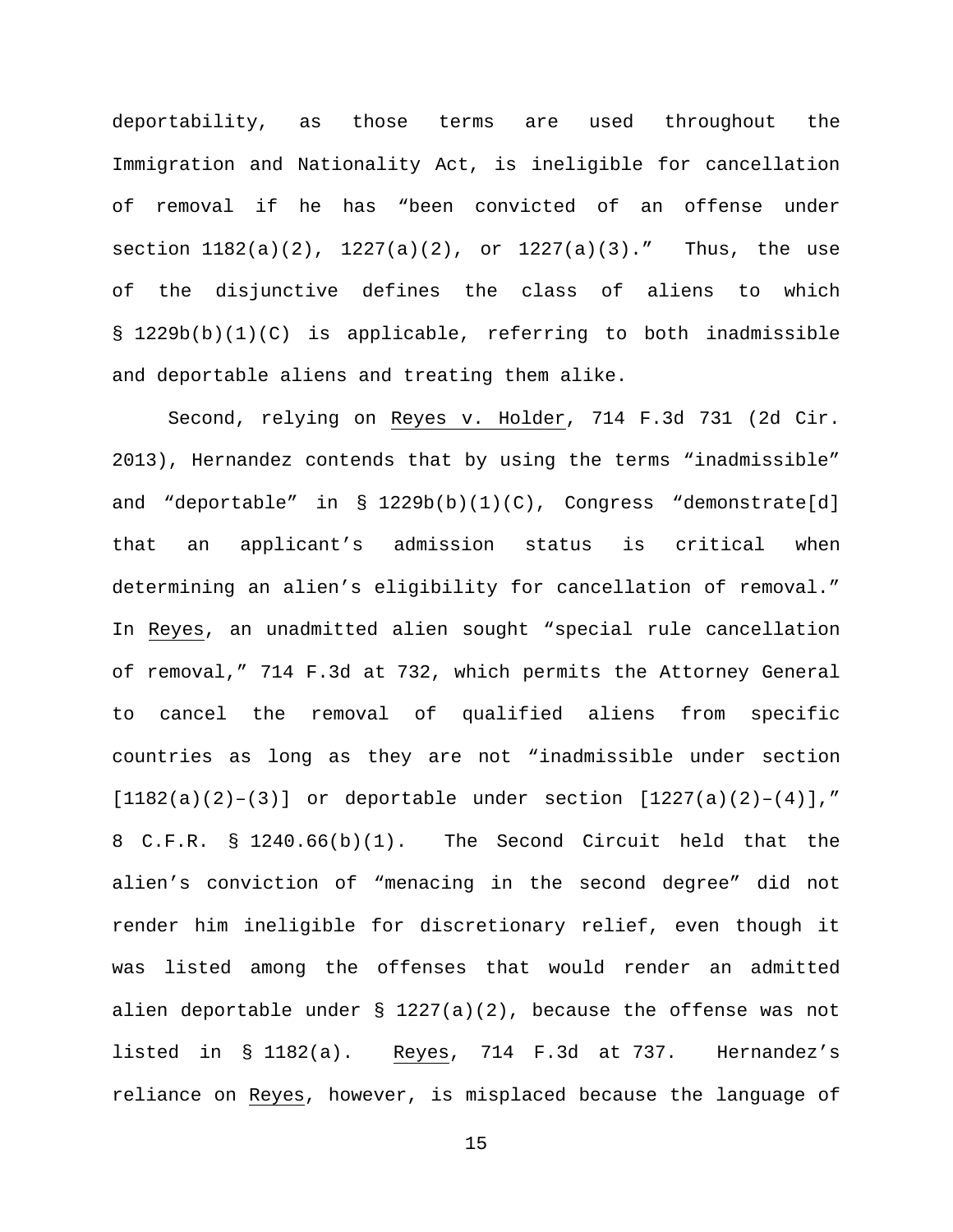deportability, as those terms are used throughout the Immigration and Nationality Act, is ineligible for cancellation of removal if he has "been convicted of an offense under section  $1182(a)(2)$ ,  $1227(a)(2)$ , or  $1227(a)(3)$ ." Thus, the use of the disjunctive defines the class of aliens to which § 1229b(b)(1)(C) is applicable, referring to both inadmissible and deportable aliens and treating them alike.

Second, relying on Reyes v. Holder, 714 F.3d 731 (2d Cir. 2013), Hernandez contends that by using the terms "inadmissible" and "deportable" in  $\S$  1229b(b)(1)(C), Congress "demonstrate[d] that an applicant's admission status is critical when determining an alien's eligibility for cancellation of removal." In Reyes, an unadmitted alien sought "special rule cancellation of removal," 714 F.3d at 732, which permits the Attorney General to cancel the removal of qualified aliens from specific countries as long as they are not "inadmissible under section  $[1182(a)(2)-(3)]$  or deportable under section  $[1227(a)(2)-(4)]$ ," 8 C.F.R. § 1240.66(b)(1). The Second Circuit held that the alien's conviction of "menacing in the second degree" did not render him ineligible for discretionary relief, even though it was listed among the offenses that would render an admitted alien deportable under  $\S$  1227(a)(2), because the offense was not listed in § 1182(a). Reyes, 714 F.3d at 737. Hernandez's reliance on Reyes, however, is misplaced because the language of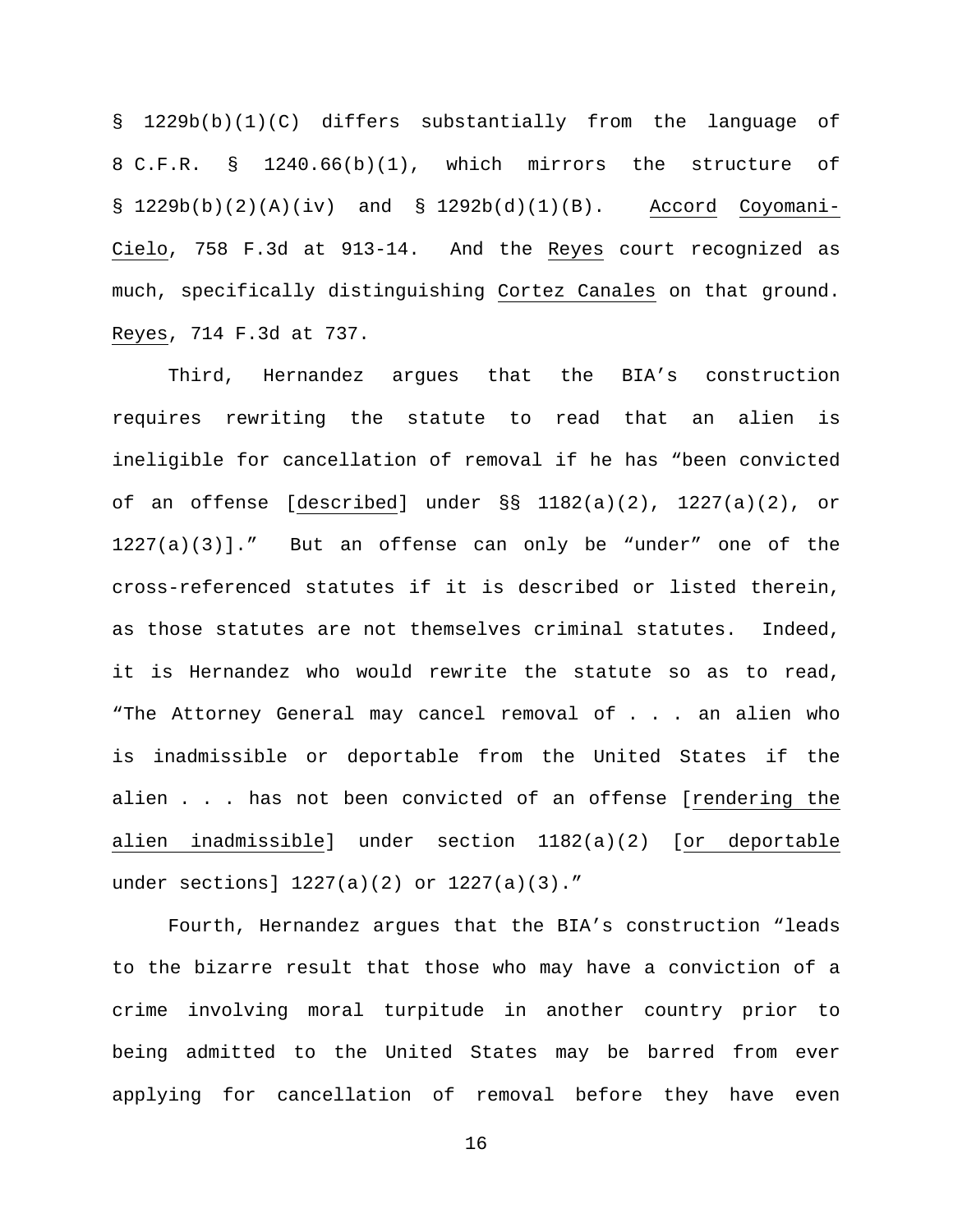§ 1229b(b)(1)(C) differs substantially from the language of 8 C.F.R. § 1240.66(b)(1), which mirrors the structure of  $\S$  1229b(b)(2)(A)(iv) and  $\S$  1292b(d)(1)(B). Accord Coyomani-Cielo, 758 F.3d at 913-14. And the Reyes court recognized as much, specifically distinguishing Cortez Canales on that ground. Reyes, 714 F.3d at 737.

Third, Hernandez argues that the BIA's construction requires rewriting the statute to read that an alien is ineligible for cancellation of removal if he has "been convicted of an offense [described] under §§ 1182(a)(2), 1227(a)(2), or 1227(a)(3)]." But an offense can only be "under" one of the cross-referenced statutes if it is described or listed therein, as those statutes are not themselves criminal statutes. Indeed, it is Hernandez who would rewrite the statute so as to read, "The Attorney General may cancel removal of . . . an alien who is inadmissible or deportable from the United States if the alien . . . has not been convicted of an offense [rendering the alien inadmissible] under section 1182(a)(2) [or deportable under sections] 1227(a)(2) or 1227(a)(3)."

Fourth, Hernandez argues that the BIA's construction "leads to the bizarre result that those who may have a conviction of a crime involving moral turpitude in another country prior to being admitted to the United States may be barred from ever applying for cancellation of removal before they have even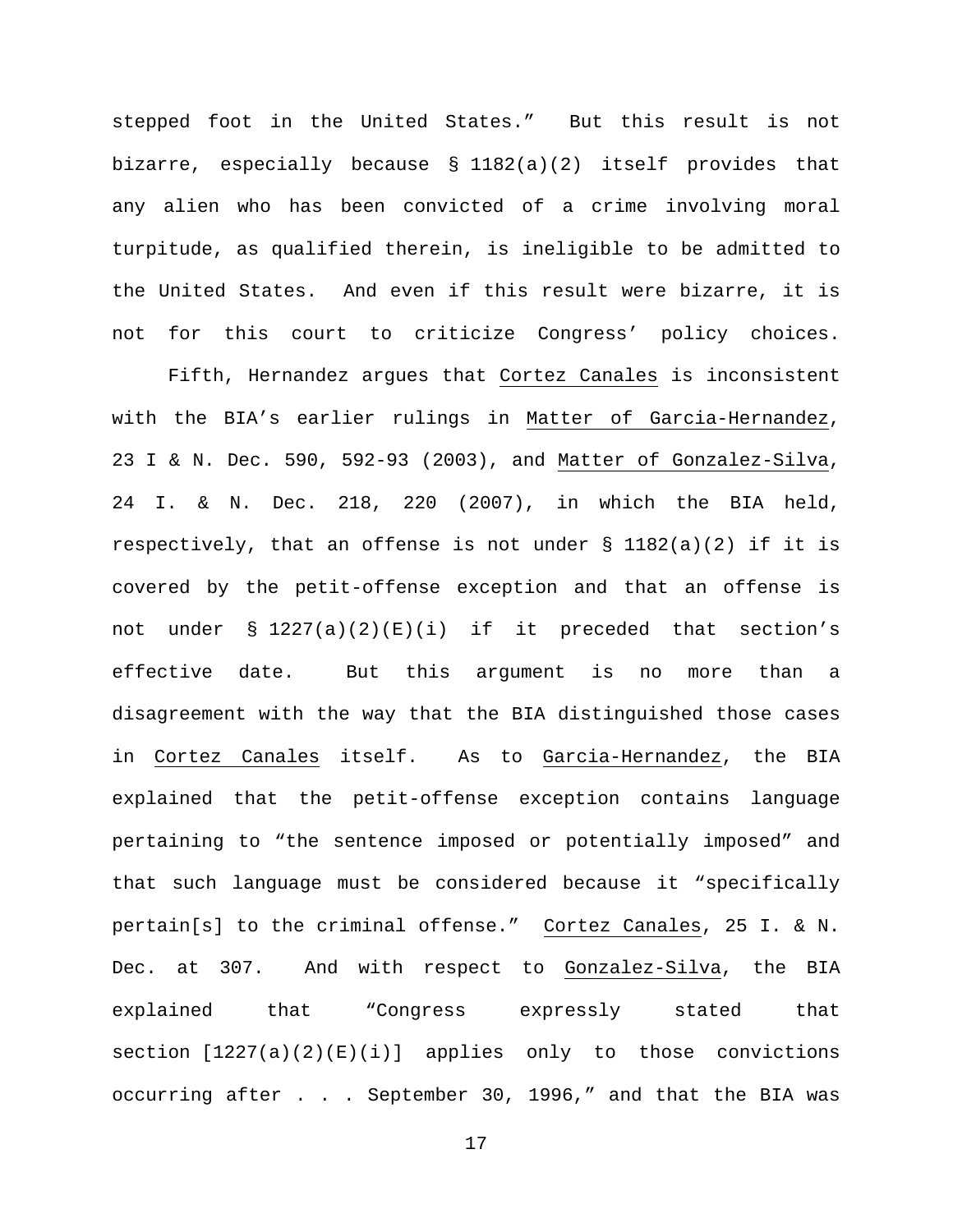stepped foot in the United States." But this result is not bizarre, especially because § 1182(a)(2) itself provides that any alien who has been convicted of a crime involving moral turpitude, as qualified therein, is ineligible to be admitted to the United States. And even if this result were bizarre, it is not for this court to criticize Congress' policy choices.

Fifth, Hernandez argues that Cortez Canales is inconsistent with the BIA's earlier rulings in Matter of Garcia-Hernandez, 23 I & N. Dec. 590, 592-93 (2003), and Matter of Gonzalez-Silva, 24 I. & N. Dec. 218, 220 (2007), in which the BIA held, respectively, that an offense is not under  $\S$  1182(a)(2) if it is covered by the petit-offense exception and that an offense is not under § 1227(a)(2)(E)(i) if it preceded that section's effective date. But this argument is no more than a disagreement with the way that the BIA distinguished those cases in Cortez Canales itself. As to Garcia-Hernandez, the BIA explained that the petit-offense exception contains language pertaining to "the sentence imposed or potentially imposed" and that such language must be considered because it "specifically pertain[s] to the criminal offense." Cortez Canales, 25 I. & N. Dec. at 307. And with respect to Gonzalez-Silva, the BIA explained that "Congress expressly stated that section [1227(a)(2)(E)(i)] applies only to those convictions occurring after . . . September 30, 1996," and that the BIA was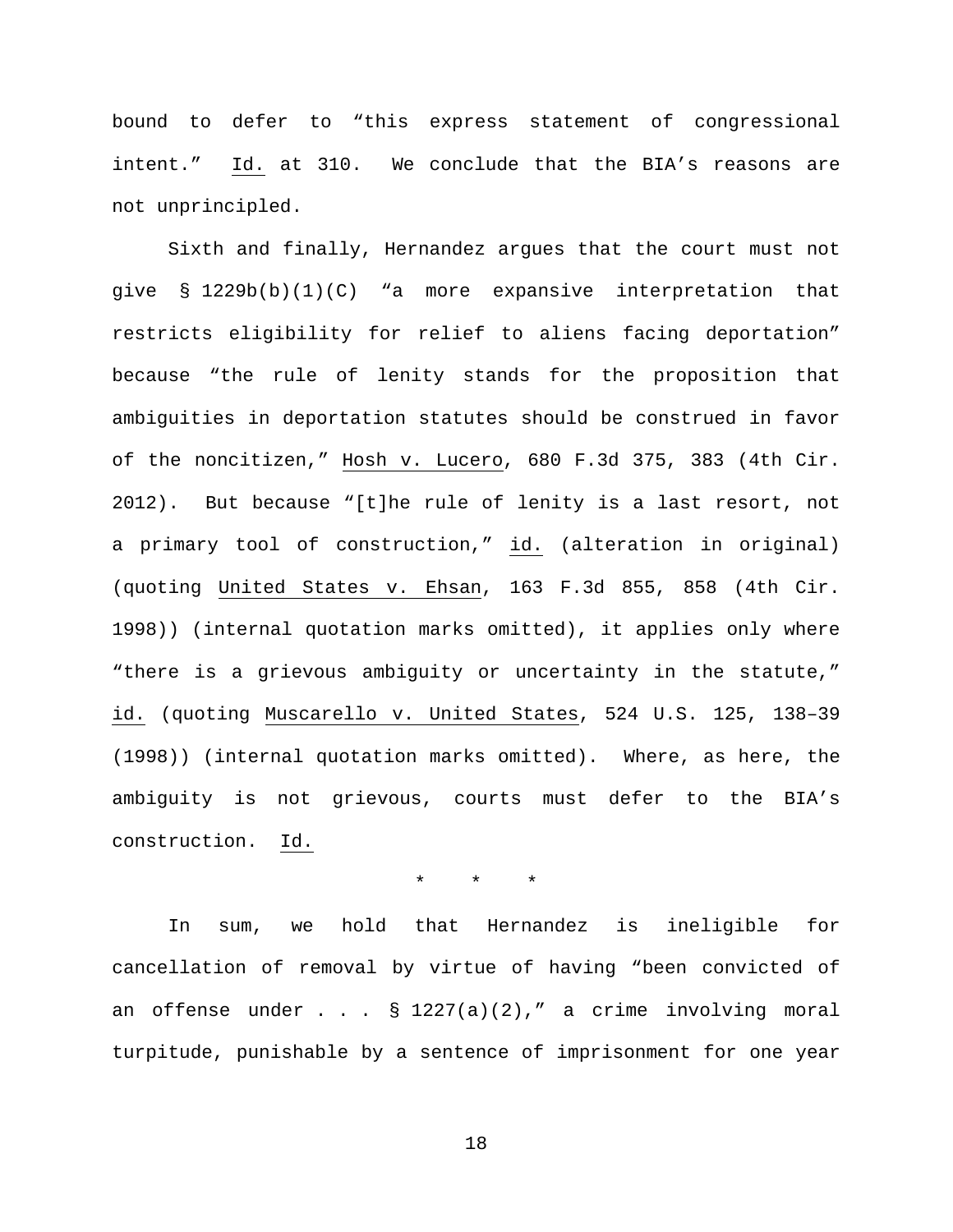bound to defer to "this express statement of congressional intent." Id. at 310. We conclude that the BIA's reasons are not unprincipled.

Sixth and finally, Hernandez argues that the court must not give § 1229b(b)(1)(C) "a more expansive interpretation that restricts eligibility for relief to aliens facing deportation" because "the rule of lenity stands for the proposition that ambiguities in deportation statutes should be construed in favor of the noncitizen," Hosh v. Lucero, 680 F.3d 375, 383 (4th Cir. 2012). But because "[t]he rule of lenity is a last resort, not a primary tool of construction," id. (alteration in original) (quoting United States v. Ehsan, 163 F.3d 855, 858 (4th Cir. 1998)) (internal quotation marks omitted), it applies only where "there is a grievous ambiguity or uncertainty in the statute," id. (quoting Muscarello v. United States, 524 U.S. 125, 138–39 (1998)) (internal quotation marks omitted). Where, as here, the ambiguity is not grievous, courts must defer to the BIA's construction. Id.

# \* \* \*

In sum, we hold that Hernandez is ineligible for cancellation of removal by virtue of having "been convicted of an offense under  $\ldots$   $\frac{1227(a)(2)}{m}$  a crime involving moral turpitude, punishable by a sentence of imprisonment for one year